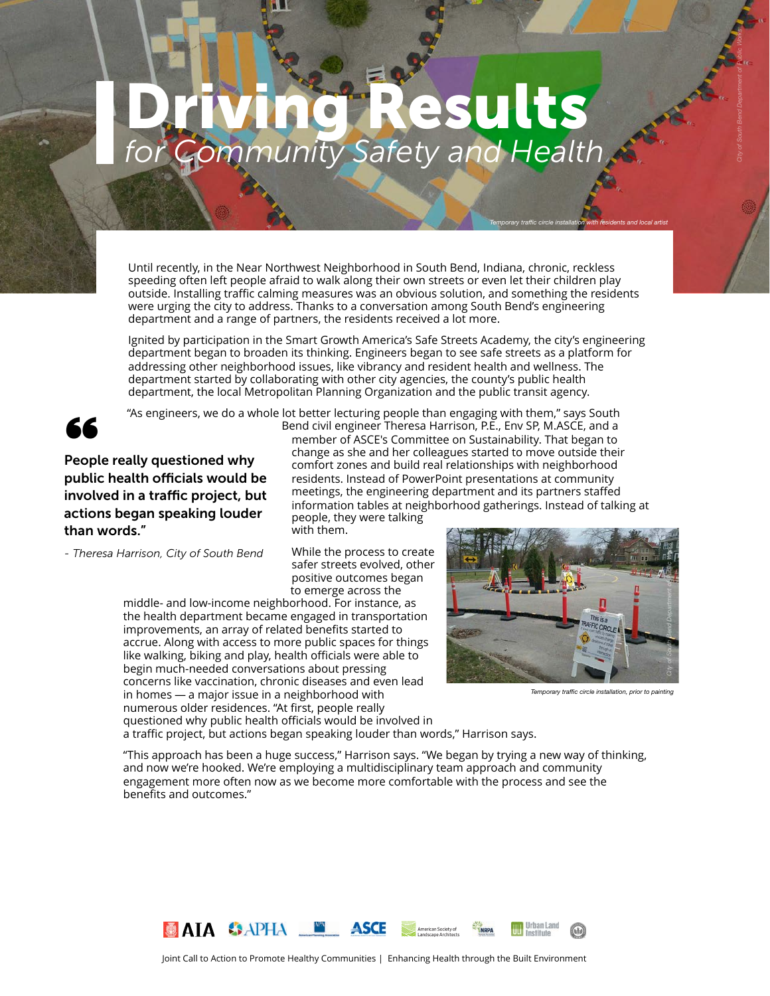# *for Community Safety and Health* sults

Until recently, in the Near Northwest Neighborhood in South Bend, Indiana, chronic, reckless speeding often left people afraid to walk along their own streets or even let their children play outside. Installing traffic calming measures was an obvious solution, and something the residents were urging the city to address. Thanks to a conversation among South Bend's engineering department and a range of partners, the residents received a lot more.

Ignited by participation in the Smart Growth America's Safe Streets Academy, the city's engineering department began to broaden its thinking. Engineers began to see safe streets as a platform for addressing other neighborhood issues, like vibrancy and resident health and wellness. The department started by collaborating with other city agencies, the county's public health department, the local Metropolitan Planning Organization and the public transit agency.



"As engineers, we do a whole lot better lecturing people than engaging with them," says South

Surgified s, we do a wide<br>People really questioned why<br>mublic health officials would be public health officials would be involved in a traffic project, but actions began speaking louder than words."

*- Theresa Harrison, City of South Bend*

Bend civil engineer Theresa Harrison, P.E., Env SP, M.ASCE, and a member of ASCE's Committee on Sustainability. That began to change as she and her colleagues started to move outside their comfort zones and build real relationships with neighborhood residents. Instead of PowerPoint presentations at community meetings, the engineering department and its partners staffed information tables at neighborhood gatherings. Instead of talking at people, they were talking

with them.

While the process to create safer streets evolved, other positive outcomes began to emerge across the

middle- and low-income neighborhood. For instance, as the health department became engaged in transportation improvements, an array of related benefits started to accrue. Along with access to more public spaces for things like walking, biking and play, health officials were able to begin much-needed conversations about pressing concerns like vaccination, chronic diseases and even lead in homes — a major issue in a neighborhood with numerous older residences. "At first, people really questioned why public health officials would be involved in



*Temporary traffic circle installation with residents and local artist*

*City of South Bend Department of Public Works*

*Temporary traffic circle installation, prior to painting*

a traffic project, but actions began speaking louder than words," Harrison says.

"This approach has been a huge success," Harrison says. "We began by trying a new way of thinking, and now we're hooked. We're employing a multidisciplinary team approach and community engagement more often now as we become more comfortable with the process and see the benefits and outcomes."